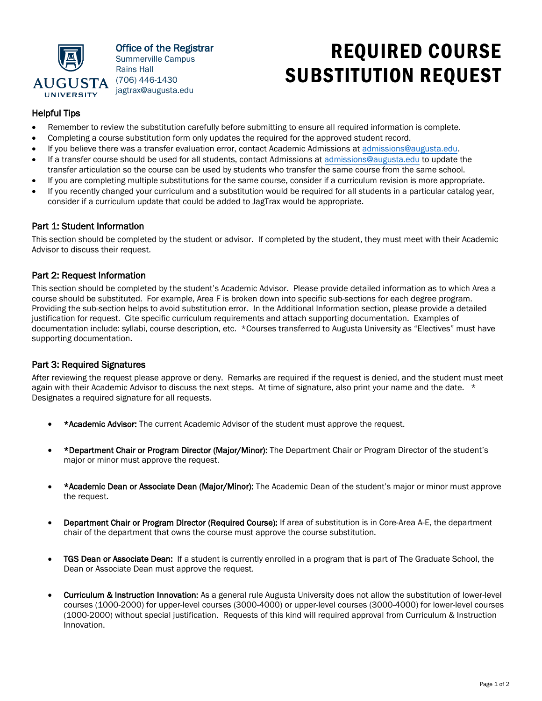

Office of the Registrar Summerville Campus Rains Hall (706) 446-1430 jagtrax@augusta.edu

# REQUIRED COURSE SUBSTITUTION REQUEST

## Helpful Tips

- Remember to review the substitution carefully before submitting to ensure all required information is complete.
- Completing a course substitution form only updates the required for the approved student record.
- If you believe there was a transfer evaluation error, contact Academic Admissions at admissions[@augusta.edu.](mailto:admission@augusta.edu)
- If a transfer course should be used for all students, contact Admissions at admissions[@augusta.edu](mailto:admission@augusta.edu) to update the transfer articulation so the course can be used by students who transfer the same course from the same school.
- If you are completing multiple substitutions for the same course, consider if a curriculum revision is more appropriate.
- If you recently changed your curriculum and a substitution would be required for all students in a particular catalog year, consider if a curriculum update that could be added to JagTrax would be appropriate.

### Part 1: Student Information

This section should be completed by the student or advisor. If completed by the student, they must meet with their Academic Advisor to discuss their request.

#### Part 2: Request Information

This section should be completed by the student's Academic Advisor. Please provide detailed information as to which Area a course should be substituted. For example, Area F is broken down into specific sub-sections for each degree program. Providing the sub-section helps to avoid substitution error. In the Additional Information section, please provide a detailed justification for request. Cite specific curriculum requirements and attach supporting documentation. Examples of documentation include: syllabi, course description, etc. \*Courses transferred to Augusta University as "Electives" must have supporting documentation.

#### Part 3: Required Signatures

After reviewing the request please approve or deny. Remarks are required if the request is denied, and the student must meet again with their Academic Advisor to discuss the next steps. At time of signature, also print your name and the date. \* Designates a required signature for all requests.

- \*Academic Advisor: The current Academic Advisor of the student must approve the request.
- \*Department Chair or Program Director (Major/Minor): The Department Chair or Program Director of the student's major or minor must approve the request.
- \*Academic Dean or Associate Dean (Major/Minor): The Academic Dean of the student's major or minor must approve the request.
- Department Chair or Program Director (Required Course): If area of substitution is in Core-Area A-E, the department chair of the department that owns the course must approve the course substitution.
- TGS Dean or Associate Dean: If a student is currently enrolled in a program that is part of The Graduate School, the Dean or Associate Dean must approve the request.
- Curriculum & Instruction Innovation: As a general rule Augusta University does not allow the substitution of lower-level courses (1000-2000) for upper-level courses (3000-4000) or upper-level courses (3000-4000) for lower-level courses (1000-2000) without special justification. Requests of this kind will required approval from Curriculum & Instruction Innovation.